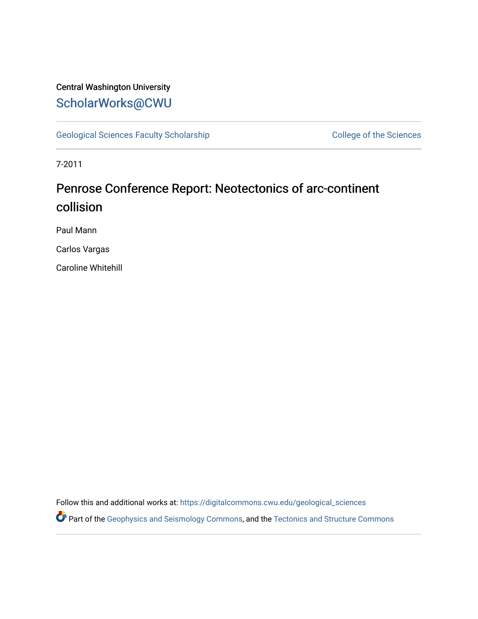### Central Washington University [ScholarWorks@CWU](https://digitalcommons.cwu.edu/)

[Geological Sciences Faculty Scholarship](https://digitalcommons.cwu.edu/geological_sciences) College of the Sciences

7-2011

### Penrose Conference Report: Neotectonics of arc-continent collision

Paul Mann

Carlos Vargas

Caroline Whitehill

Follow this and additional works at: [https://digitalcommons.cwu.edu/geological\\_sciences](https://digitalcommons.cwu.edu/geological_sciences?utm_source=digitalcommons.cwu.edu%2Fgeological_sciences%2F166&utm_medium=PDF&utm_campaign=PDFCoverPages) 

Part of the [Geophysics and Seismology Commons,](http://network.bepress.com/hgg/discipline/158?utm_source=digitalcommons.cwu.edu%2Fgeological_sciences%2F166&utm_medium=PDF&utm_campaign=PDFCoverPages) and the Tectonics and Structure Commons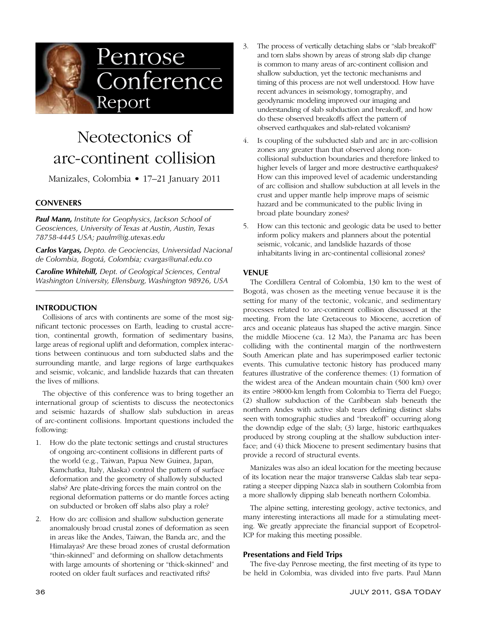

## Neotectonics of arc-continent collision

Manizales, Colombia • 17–21 January 2011

### **CONVENERS**

*Paul Mann, Institute for Geophysics, Jackson School of Geosciences, University of Texas at Austin, Austin, Texas 78758-4445 USA; paulm@ig.utexas.edu*

*Carlos Vargas, Depto. de Geociencias, Universidad Nacional de Colombia, Bogotá, Colombia; cvargas@unal.edu.co*

*Caroline Whitehill, Dept. of Geological Sciences, Central Washington University, Ellensburg, Washington 98926, USA*

#### **INTRODUCTION**

Collisions of arcs with continents are some of the most significant tectonic processes on Earth, leading to crustal accretion, continental growth, formation of sedimentary basins, large areas of regional uplift and deformation, complex interactions between continuous and torn subducted slabs and the surrounding mantle, and large regions of large earthquakes and seismic, volcanic, and landslide hazards that can threaten the lives of millions.

The objective of this conference was to bring together an international group of scientists to discuss the neotectonics and seismic hazards of shallow slab subduction in areas of arc-continent collisions. Important questions included the following:

- 1. How do the plate tectonic settings and crustal structures of ongoing arc-continent collisions in different parts of the world (e.g., Taiwan, Papua New Guinea, Japan, Kamchatka, Italy, Alaska) control the pattern of surface deformation and the geometry of shallowly subducted slabs? Are plate-driving forces the main control on the regional deformation patterns or do mantle forces acting on subducted or broken off slabs also play a role?
- 2. How do arc collision and shallow subduction generate anomalously broad crustal zones of deformation as seen in areas like the Andes, Taiwan, the Banda arc, and the Himalayas? Are these broad zones of crustal deformation "thin-skinned" and deforming on shallow detachments with large amounts of shortening or "thick-skinned" and rooted on older fault surfaces and reactivated rifts?
- 3. The process of vertically detaching slabs or "slab breakoff" and torn slabs shown by areas of strong slab dip change is common to many areas of arc-continent collision and shallow subduction, yet the tectonic mechanisms and timing of this process are not well understood. How have recent advances in seismology, tomography, and geodynamic modeling improved our imaging and understanding of slab subduction and breakoff, and how do these observed breakoffs affect the pattern of observed earthquakes and slab-related volcanism?
- 4. Is coupling of the subducted slab and arc in arc-collision zones any greater than that observed along noncollisional subduction boundaries and therefore linked to higher levels of larger and more destructive earthquakes? How can this improved level of academic understanding of arc collision and shallow subduction at all levels in the crust and upper mantle help improve maps of seismic hazard and be communicated to the public living in broad plate boundary zones?
- 5. How can this tectonic and geologic data be used to better inform policy makers and planners about the potential seismic, volcanic, and landslide hazards of those inhabitants living in arc-continental collisional zones?

#### **VENUE**

The Cordillera Central of Colombia, 130 km to the west of Bogotá, was chosen as the meeting venue because it is the setting for many of the tectonic, volcanic, and sedimentary processes related to arc-continent collision discussed at the meeting. From the late Cretaceous to Miocene, accretion of arcs and oceanic plateaus has shaped the active margin. Since the middle Miocene (ca. 12 Ma), the Panama arc has been colliding with the continental margin of the northwestern South American plate and has superimposed earlier tectonic events. This cumulative tectonic history has produced many features illustrative of the conference themes: (1) formation of the widest area of the Andean mountain chain (500 km) over its entire >8000-km length from Colombia to Tierra del Fuego; (2) shallow subduction of the Caribbean slab beneath the northern Andes with active slab tears defining distinct slabs seen with tomographic studies and "breakoff" occurring along the downdip edge of the slab; (3) large, historic earthquakes produced by strong coupling at the shallow subduction interface; and (4) thick Miocene to present sedimentary basins that provide a record of structural events.

Manizales was also an ideal location for the meeting because of its location near the major transverse Caldas slab tear separating a steeper dipping Nazca slab in southern Colombia from a more shallowly dipping slab beneath northern Colombia.

The alpine setting, interesting geology, active tectonics, and many interesting interactions all made for a stimulating meeting. We greatly appreciate the financial support of Ecopetrol-ICP for making this meeting possible.

#### **Presentations and Field Trips**

The five-day Penrose meeting, the first meeting of its type to be held in Colombia, was divided into five parts. Paul Mann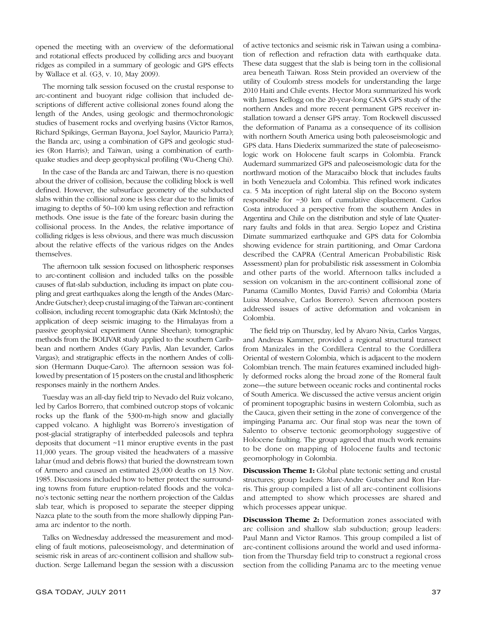opened the meeting with an overview of the deformational and rotational effects produced by colliding arcs and buoyant ridges as compiled in a summary of geologic and GPS effects by Wallace et al. (G3, v. 10, May 2009).

The morning talk session focused on the crustal response to arc-continent and buoyant ridge collision that included descriptions of different active collisional zones found along the length of the Andes, using geologic and thermochronologic studies of basement rocks and overlying basins (Victor Ramos, Richard Spikings, German Bayona, Joel Saylor, Mauricio Parra); the Banda arc, using a combination of GPS and geologic studies (Ron Harris); and Taiwan, using a combination of earthquake studies and deep geophysical profiling (Wu-Cheng Chi).

In the case of the Banda arc and Taiwan, there is no question about the driver of collision, because the colliding block is well defined. However, the subsurface geometry of the subducted slabs within the collisional zone is less clear due to the limits of imaging to depths of 50–100 km using reflection and refraction methods. One issue is the fate of the forearc basin during the collisional process. In the Andes, the relative importance of colliding ridges is less obvious, and there was much discussion about the relative effects of the various ridges on the Andes themselves.

The afternoon talk session focused on lithospheric responses to arc-continent collision and included talks on the possible causes of flat-slab subduction, including its impact on plate coupling and great earthquakes along the length of the Andes (Marc-Andre Gutscher); deep crustal imaging of the Taiwan arc-continent collision, including recent tomographic data (Kirk McIntosh); the application of deep seismic imaging to the Himalayas from a passive geophysical experiment (Anne Sheehan); tomographic methods from the BOLIVAR study applied to the southern Caribbean and northern Andes (Gary Pavlis, Alan Levander, Carlos Vargas); and stratigraphic effects in the northern Andes of collision (Hermann Duque-Caro). The afternoon session was followed by presentation of 15 posters on the crustal and lithospheric responses mainly in the northern Andes.

Tuesday was an all-day field trip to Nevado del Ruiz volcano, led by Carlos Borrero, that combined outcrop stops of volcanic rocks up the flank of the 5300-m-high snow and glacially capped volcano. A highlight was Borrero's investigation of post-glacial stratigraphy of interbedded paleosols and tephra deposits that document ~11 minor eruptive events in the past 11,000 years. The group visited the headwaters of a massive lahar (mud and debris flows) that buried the downstream town of Armero and caused an estimated 23,000 deaths on 13 Nov. 1985. Discussions included how to better protect the surrounding towns from future eruption-related floods and the volcano's tectonic setting near the northern projection of the Caldas slab tear, which is proposed to separate the steeper dipping Nazca plate to the south from the more shallowly dipping Panama arc indentor to the north.

Talks on Wednesday addressed the measurement and modeling of fault motions, paleoseismology, and determination of seismic risk in areas of arc-continent collision and shallow subduction. Serge Lallemand began the session with a discussion of active tectonics and seismic risk in Taiwan using a combination of reflection and refraction data with earthquake data. These data suggest that the slab is being torn in the collisional area beneath Taiwan. Ross Stein provided an overview of the utility of Coulomb stress models for understanding the large 2010 Haiti and Chile events. Hector Mora summarized his work with James Kellogg on the 20-year-long CASA GPS study of the northern Andes and more recent permanent GPS receiver installation toward a denser GPS array. Tom Rockwell discussed the deformation of Panama as a consequence of its collision with northern South America using both paleoseismologic and GPS data. Hans Diederix summarized the state of paleoseismologic work on Holocene fault scarps in Colombia. Franck Audemard summarized GPS and paleoseismologic data for the northward motion of the Maracaibo block that includes faults in both Venezuela and Colombia. This refined work indicates ca. 5 Ma inception of right lateral slip on the Bocono system responsible for ~30 km of cumulative displacement. Carlos Costa introduced a perspective from the southern Andes in Argentina and Chile on the distribution and style of late Quaternary faults and folds in that area. Sergio Lopez and Cristina Dimate summarized earthquake and GPS data for Colombia showing evidence for strain partitioning, and Omar Cardona described the CAPRA (Central American Probabilistic Risk Assessment) plan for probabilistic risk assessment in Colombia and other parts of the world. Afternoon talks included a session on volcanism in the arc-continent collisional zone of Panama (Camillo Montes, David Farris) and Colombia (Maria Luisa Monsalve, Carlos Borrero). Seven afternoon posters addressed issues of active deformation and volcanism in Colombia.

The field trip on Thursday, led by Alvaro Nivia, Carlos Vargas, and Andreas Kammer, provided a regional structural transect from Manizales in the Cordillera Central to the Cordillera Oriental of western Colombia, which is adjacent to the modern Colombian trench. The main features examined included highly deformed rocks along the broad zone of the Romeral fault zone—the suture between oceanic rocks and continental rocks of South America. We discussed the active versus ancient origin of prominent topographic basins in western Colombia, such as the Cauca, given their setting in the zone of convergence of the impinging Panama arc. Our final stop was near the town of Salento to observe tectonic geomorphology suggestive of Holocene faulting. The group agreed that much work remains to be done on mapping of Holocene faults and tectonic geomorphology in Colombia.

**Discussion Theme 1:** Global plate tectonic setting and crustal structures; group leaders: Marc-Andre Gutscher and Ron Harris. This group compiled a list of all arc-continent collisions and attempted to show which processes are shared and which processes appear unique.

**Discussion Theme 2:** Deformation zones associated with arc collision and shallow slab subduction; group leaders: Paul Mann and Victor Ramos. This group compiled a list of arc-continent collisions around the world and used information from the Thursday field trip to construct a regional cross section from the colliding Panama arc to the meeting venue